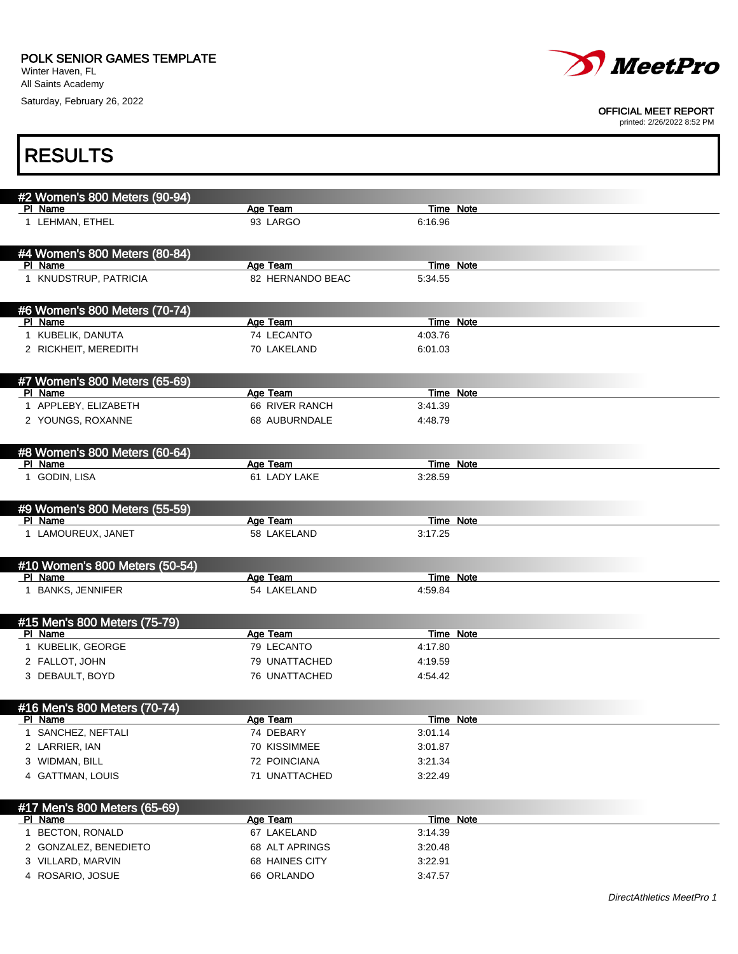Winter Haven, FL All Saints Academy

Saturday, February 26, 2022



#### OFFICIAL MEET REPORT

| <b>RESULTS</b>                           |                         |                             |  |
|------------------------------------------|-------------------------|-----------------------------|--|
| #2 Women's 800 Meters (90-94)<br>PI Name | Age Team                | Time Note                   |  |
| 1 LEHMAN, ETHEL                          | 93 LARGO                | 6:16.96                     |  |
| #4 Women's 800 Meters (80-84)<br>PI Name | Age Team                | Time Note                   |  |
| 1 KNUDSTRUP, PATRICIA                    | 82 HERNANDO BEAC        | 5:34.55                     |  |
| #6 Women's 800 Meters (70-74)<br>PI Name | Age Team                | <b>Time Note</b>            |  |
| 1 KUBELIK, DANUTA                        | 74 LECANTO              | 4:03.76                     |  |
| 2 RICKHEIT, MEREDITH                     | 70 LAKELAND             | 6:01.03                     |  |
| #7 Women's 800 Meters (65-69)<br>PI Name | Age Team                | Time Note                   |  |
| 1 APPLEBY, ELIZABETH                     | 66 RIVER RANCH          | 3:41.39                     |  |
| 2 YOUNGS, ROXANNE                        | 68 AUBURNDALE           | 4:48.79                     |  |
| #8 Women's 800 Meters (60-64)<br>PI Name | Age Team                | Time Note                   |  |
| 1 GODIN, LISA                            | 61 LADY LAKE            | 3:28.59                     |  |
| #9 Women's 800 Meters (55-59)            |                         |                             |  |
| PI Name<br>1 LAMOUREUX, JANET            | Age Team<br>58 LAKELAND | <b>Time Note</b><br>3:17.25 |  |
| #10 Women's 800 Meters (50-54)           |                         |                             |  |
| PI Name<br>1 BANKS, JENNIFER             | Age Team<br>54 LAKELAND | Time Note<br>4:59.84        |  |
| #15 Men's 800 Meters (75-79)             |                         |                             |  |
| PI Name<br>1 KUBELIK, GEORGE             | Age Team<br>79 LECANTO  | Time Note<br>4:17.80        |  |
| 2 FALLOT, JOHN                           | 79 UNATTACHED           | 4:19.59                     |  |
| 3 DEBAULT, BOYD                          | 76 UNATTACHED           | 4:54.42                     |  |
| #16 Men's 800 Meters (70-74)             |                         |                             |  |
| PI Name<br>1 SANCHEZ, NEFTALI            | Age Team<br>74 DEBARY   | <b>Time Note</b><br>3:01.14 |  |
| 2 LARRIER, IAN                           | 70 KISSIMMEE            | 3:01.87                     |  |
| 3 WIDMAN, BILL                           | 72 POINCIANA            | 3:21.34                     |  |
| 4 GATTMAN, LOUIS                         | 71 UNATTACHED           | 3:22.49                     |  |
| #17 Men's 800 Meters (65-69)<br>PI Name  | Age Team                | <b>Time Note</b>            |  |
| 1 BECTON, RONALD                         | 67 LAKELAND             | 3:14.39                     |  |
| 2 GONZALEZ, BENEDIETO                    | 68 ALT APRINGS          | 3:20.48                     |  |
| 3 VILLARD, MARVIN                        | 68 HAINES CITY          | 3:22.91                     |  |
| 4 ROSARIO, JOSUE                         | 66 ORLANDO              | 3:47.57                     |  |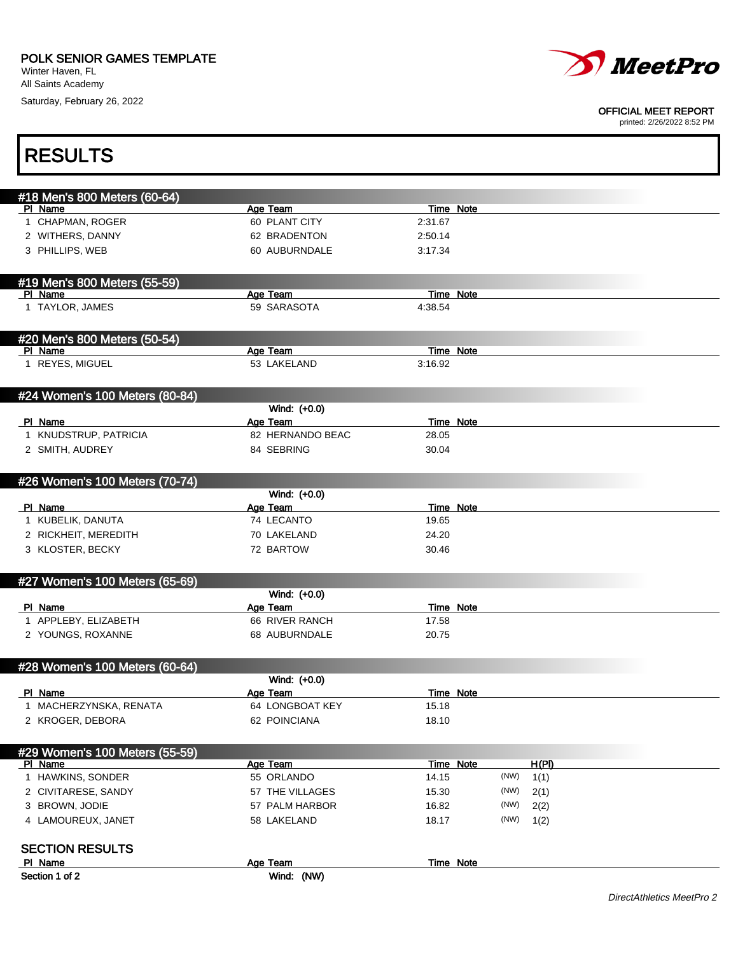Saturday, February 26, 2022



#### OFFICIAL MEET REPORT

| <b>RESULTS</b>                          |                          |                           |      |       |                           |
|-----------------------------------------|--------------------------|---------------------------|------|-------|---------------------------|
| #18 Men's 800 Meters (60-64)            |                          |                           |      |       |                           |
| PI Name                                 | Age Team                 | <b>Time Note</b>          |      |       |                           |
| 1 CHAPMAN, ROGER                        | 60 PLANT CITY            | 2:31.67                   |      |       |                           |
| 2 WITHERS, DANNY                        | 62 BRADENTON             | 2:50.14                   |      |       |                           |
| 3 PHILLIPS, WEB                         | 60 AUBURNDALE            | 3:17.34                   |      |       |                           |
| #19 Men's 800 Meters (55-59)            |                          |                           |      |       |                           |
| PI Name                                 | Age Team                 | Time Note                 |      |       |                           |
| 1 TAYLOR, JAMES                         | 59 SARASOTA              | 4:38.54                   |      |       |                           |
| #20 Men's 800 Meters (50-54)<br>PI Name |                          | <b>Time Note</b>          |      |       |                           |
| 1 REYES, MIGUEL                         | Age Team<br>53 LAKELAND  | 3:16.92                   |      |       |                           |
|                                         |                          |                           |      |       |                           |
| #24 Women's 100 Meters (80-84)          |                          |                           |      |       |                           |
| PI Name                                 | Wind: (+0.0)<br>Age Team | Time Note                 |      |       |                           |
| 1 KNUDSTRUP, PATRICIA                   | 82 HERNANDO BEAC         | 28.05                     |      |       |                           |
| 2 SMITH, AUDREY                         | 84 SEBRING               | 30.04                     |      |       |                           |
|                                         |                          |                           |      |       |                           |
| #26 Women's 100 Meters (70-74)          |                          |                           |      |       |                           |
|                                         | Wind: (+0.0)             |                           |      |       |                           |
| PI Name<br>1 KUBELIK, DANUTA            | Age Team<br>74 LECANTO   | <b>Time Note</b><br>19.65 |      |       |                           |
| 2 RICKHEIT, MEREDITH                    | 70 LAKELAND              | 24.20                     |      |       |                           |
| 3 KLOSTER, BECKY                        | 72 BARTOW                | 30.46                     |      |       |                           |
| #27 Women's 100 Meters (65-69)          |                          |                           |      |       |                           |
|                                         | Wind: (+0.0)             |                           |      |       |                           |
| PI Name                                 | Age Team                 | <b>Time Note</b>          |      |       |                           |
| 1 APPLEBY, ELIZABETH                    | 66 RIVER RANCH           | 17.58                     |      |       |                           |
| 2 YOUNGS, ROXANNE                       | 68 AUBURNDALE            | 20.75                     |      |       |                           |
| #28 Women's 100 Meters (60-64)          |                          |                           |      |       |                           |
|                                         | Wind: (+0.0)             |                           |      |       |                           |
| PI Name                                 | Age Team                 | Time Note                 |      |       |                           |
| 1 MACHERZYNSKA, RENATA                  | 64 LONGBOAT KEY          | 15.18                     |      |       |                           |
| 2 KROGER, DEBORA                        | 62 POINCIANA             | 18.10                     |      |       |                           |
| #29 Women's 100 Meters (55-59)          |                          |                           |      |       |                           |
| PI Name                                 | <b>Age Team</b>          | Time Note                 |      | H(PI) |                           |
| 1 HAWKINS, SONDER                       | 55 ORLANDO               | 14.15                     | (NW) | 1(1)  |                           |
| 2 CIVITARESE, SANDY                     | 57 THE VILLAGES          | 15.30                     | (NW) | 2(1)  |                           |
| 3 BROWN, JODIE                          | 57 PALM HARBOR           | 16.82                     | (NW) | 2(2)  |                           |
| 4 LAMOUREUX, JANET                      | 58 LAKELAND              | 18.17                     | (NW) | 1(2)  |                           |
| <b>SECTION RESULTS</b>                  |                          |                           |      |       |                           |
| PI Name                                 | Age Team                 | Time Note                 |      |       |                           |
| Section 1 of 2                          | Wind: (NW)               |                           |      |       |                           |
|                                         |                          |                           |      |       | DirectAthletics MeetPro 2 |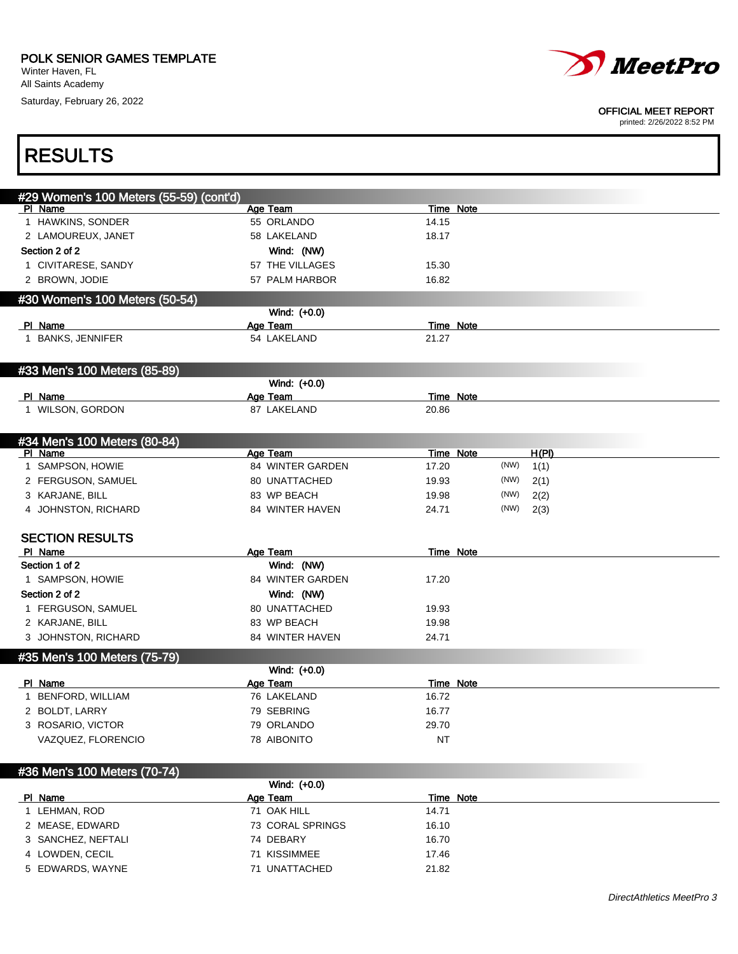Winter Haven, FL All Saints Academy

Saturday, February 26, 2022



#### OFFICIAL MEET REPORT

| <b>RESULTS</b>                          |                  |                           |
|-----------------------------------------|------------------|---------------------------|
| #29 Women's 100 Meters (55-59) (cont'd) |                  |                           |
| PI Name                                 | Age Team         | Time Note                 |
| 1 HAWKINS, SONDER                       | 55 ORLANDO       | 14.15                     |
| 2 LAMOUREUX, JANET                      | 58 LAKELAND      | 18.17                     |
| Section 2 of 2                          | Wind: (NW)       |                           |
| 1 CIVITARESE, SANDY                     | 57 THE VILLAGES  | 15.30                     |
| 2 BROWN, JODIE                          | 57 PALM HARBOR   | 16.82                     |
| #30 Women's 100 Meters (50-54)          |                  |                           |
|                                         | Wind: (+0.0)     |                           |
| PI Name                                 | Age Team         | <b>Time Note</b>          |
| 1 BANKS, JENNIFER                       | 54 LAKELAND      | 21.27                     |
|                                         |                  |                           |
| #33 Men's 100 Meters (85-89)            |                  |                           |
|                                         | Wind: (+0.0)     |                           |
| PI Name                                 | Age Team         | <b>Time Note</b>          |
| 1 WILSON, GORDON                        | 87 LAKELAND      | 20.86                     |
|                                         |                  |                           |
| #34 Men's 100 Meters (80-84)<br>PI Name | Age Team         | H(PI)<br><b>Time Note</b> |
| 1 SAMPSON, HOWIE                        | 84 WINTER GARDEN | (NW)<br>17.20<br>1(1)     |
| 2 FERGUSON, SAMUEL                      | 80 UNATTACHED    | (NW)<br>19.93<br>2(1)     |
| 3 KARJANE, BILL                         | 83 WP BEACH      | (NW)<br>19.98<br>2(2)     |
| 4 JOHNSTON, RICHARD                     | 84 WINTER HAVEN  | (NW)<br>24.71<br>2(3)     |
|                                         |                  |                           |
| <b>SECTION RESULTS</b>                  |                  |                           |
| PI Name                                 | Age Team         | Time Note                 |
| Section 1 of 2                          | Wind: (NW)       |                           |
| 1 SAMPSON, HOWIE                        | 84 WINTER GARDEN | 17.20                     |
| Section 2 of 2                          | Wind: (NW)       |                           |
| 1 FERGUSON, SAMUEL                      | 80 UNATTACHED    | 19.93                     |
| 2 KARJANE, BILL                         | 83 WP BEACH      | 19.98                     |
| 3 JOHNSTON, RICHARD                     | 84 WINTER HAVEN  | 24.71                     |
| #35 Men's 100 Meters (75-79)            |                  |                           |
|                                         | Wind: (+0.0)     |                           |
| PI Name                                 | Age Team         | Time Note                 |
| 1 BENFORD, WILLIAM                      | 76 LAKELAND      | 16.72                     |
| 2 BOLDT, LARRY                          | 79 SEBRING       | 16.77                     |
| 3 ROSARIO, VICTOR                       | 79 ORLANDO       | 29.70                     |
| VAZQUEZ, FLORENCIO                      | 78 AIBONITO      | NT                        |
| #36 Men's 100 Meters (70-74)            |                  |                           |
|                                         | Wind: (+0.0)     |                           |
| PI Name                                 | Age Team         | Time Note                 |

| PI Name            | Age Team         | Time Note |
|--------------------|------------------|-----------|
| LEHMAN, ROD        | 71 OAK HILL      | 14.71     |
| 2 MEASE, EDWARD    | 73 CORAL SPRINGS | 16.10     |
| 3 SANCHEZ, NEFTALI | 74 DEBARY        | 16.70     |
| 4 LOWDEN, CECIL    | 71 KISSIMMEE     | 17.46     |
| 5 EDWARDS, WAYNE   | 71 UNATTACHED    | 21.82     |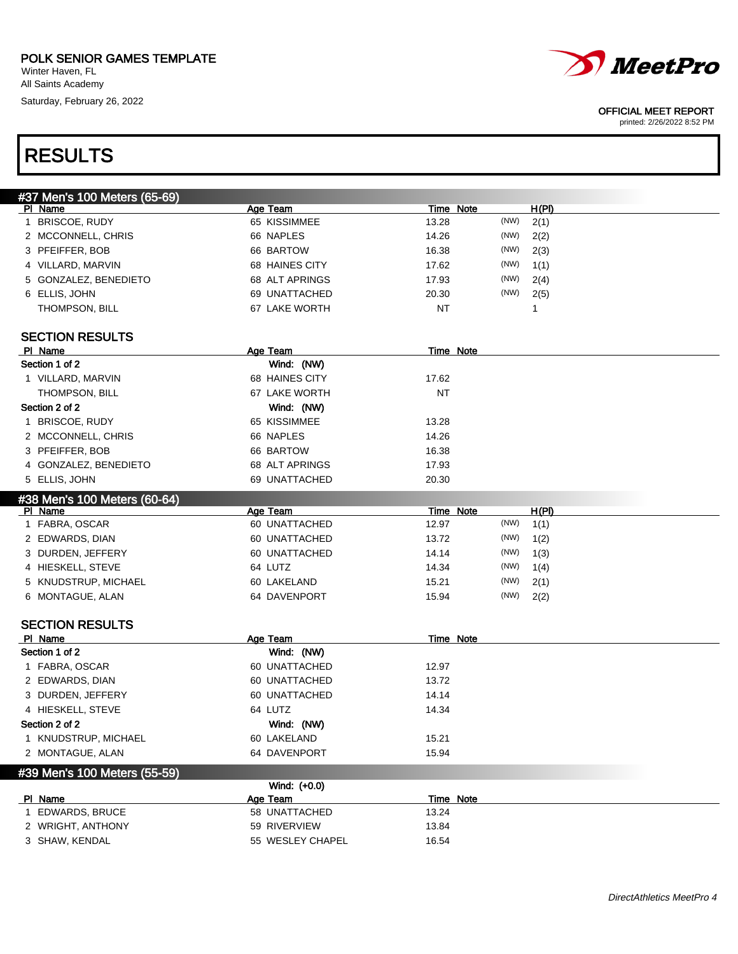Winter Haven, FL All Saints Academy

Saturday, February 26, 2022



#### OFFICIAL MEET REPORT

printed: 2/26/2022 8:52 PM

# RESULTS

| #37 Men's 100 Meters (65-69) |                  |                  |       |
|------------------------------|------------------|------------------|-------|
| PI Name                      | Age Team         | Time Note        | H(PI) |
| 1 BRISCOE, RUDY              | 65 KISSIMMEE     | (NW)<br>13.28    | 2(1)  |
| 2 MCCONNELL, CHRIS           | 66 NAPLES        | (NW)<br>14.26    | 2(2)  |
| 3 PFEIFFER, BOB              | 66 BARTOW        | 16.38<br>(NW)    | 2(3)  |
| 4 VILLARD, MARVIN            | 68 HAINES CITY   | (NW)<br>17.62    | 1(1)  |
| 5 GONZALEZ, BENEDIETO        | 68 ALT APRINGS   | (NW)<br>17.93    | 2(4)  |
| 6 ELLIS, JOHN                | 69 UNATTACHED    | (NW)<br>20.30    | 2(5)  |
| THOMPSON, BILL               | 67 LAKE WORTH    | NT               | 1     |
|                              |                  |                  |       |
| <b>SECTION RESULTS</b>       |                  |                  |       |
| PI Name                      | Age Team         | <b>Time Note</b> |       |
| Section 1 of 2               | Wind: (NW)       |                  |       |
| 1 VILLARD, MARVIN            | 68 HAINES CITY   | 17.62            |       |
| THOMPSON, BILL               | 67 LAKE WORTH    | <b>NT</b>        |       |
| Section 2 of 2               | Wind: (NW)       |                  |       |
| 1 BRISCOE, RUDY              | 65 KISSIMMEE     | 13.28            |       |
| 2 MCCONNELL, CHRIS           | 66 NAPLES        | 14.26            |       |
| 3 PFEIFFER, BOB              | 66 BARTOW        | 16.38            |       |
| 4 GONZALEZ, BENEDIETO        | 68 ALT APRINGS   | 17.93            |       |
| 5 ELLIS, JOHN                | 69 UNATTACHED    | 20.30            |       |
| #38 Men's 100 Meters (60-64) |                  |                  |       |
| PI Name                      | Age Team         | <b>Time Note</b> | H(PI) |
| 1 FABRA, OSCAR               | 60 UNATTACHED    | (NW)<br>12.97    | 1(1)  |
| 2 EDWARDS, DIAN              | 60 UNATTACHED    | (NW)<br>13.72    | 1(2)  |
| 3 DURDEN, JEFFERY            | 60 UNATTACHED    | (NW)<br>14.14    | 1(3)  |
| 4 HIESKELL, STEVE            | 64 LUTZ          | (NW)<br>14.34    | 1(4)  |
| 5 KNUDSTRUP, MICHAEL         | 60 LAKELAND      | (NW)<br>15.21    | 2(1)  |
| 6 MONTAGUE, ALAN             | 64 DAVENPORT     | (NW)<br>15.94    | 2(2)  |
|                              |                  |                  |       |
| <b>SECTION RESULTS</b>       |                  |                  |       |
| PI Name                      | Age Team         | Time Note        |       |
| Section 1 of 2               | Wind: (NW)       |                  |       |
| 1 FABRA, OSCAR               | 60 UNATTACHED    | 12.97            |       |
| 2 EDWARDS, DIAN              | 60 UNATTACHED    | 13.72            |       |
| 3 DURDEN, JEFFERY            | 60 UNATTACHED    | 14.14            |       |
| 4 HIESKELL, STEVE            | 64 LUTZ          | 14.34            |       |
| Section 2 of 2               | Wind: (NW)       |                  |       |
| 1 KNUDSTRUP, MICHAEL         | 60 LAKELAND      | 15.21            |       |
| 2 MONTAGUE, ALAN             | 64 DAVENPORT     | 15.94            |       |
|                              |                  |                  |       |
| #39 Men's 100 Meters (55-59) | Wind: (+0.0)     |                  |       |
| PI Name                      | Age Team         | Time Note        |       |
| 1 EDWARDS, BRUCE             | 58 UNATTACHED    | 13.24            |       |
| 2 WRIGHT, ANTHONY            | 59 RIVERVIEW     | 13.84            |       |
| 3 SHAW, KENDAL               | 55 WESLEY CHAPEL | 16.54            |       |
|                              |                  |                  |       |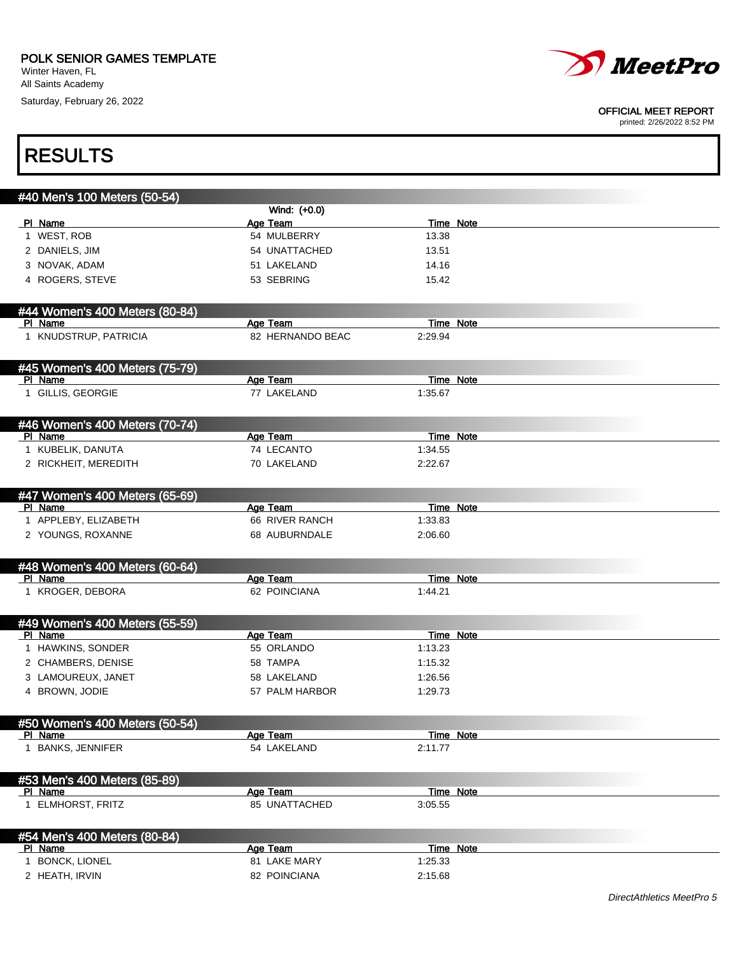Winter Haven, FL All Saints Academy Saturday, February 26, 2022



#### OFFICIAL MEET REPORT

| <b>RESULTS</b>                 |                  |                  |  |
|--------------------------------|------------------|------------------|--|
| #40 Men's 100 Meters (50-54)   |                  |                  |  |
|                                | Wind: (+0.0)     |                  |  |
| PI Name                        | Age Team         | Time Note        |  |
| 1 WEST, ROB                    | 54 MULBERRY      | 13.38            |  |
| 2 DANIELS, JIM                 | 54 UNATTACHED    | 13.51            |  |
| 3 NOVAK, ADAM                  | 51 LAKELAND      | 14.16            |  |
| 4 ROGERS, STEVE                | 53 SEBRING       | 15.42            |  |
| #44 Women's 400 Meters (80-84) |                  |                  |  |
| PI Name                        | Age Team         | Time Note        |  |
| 1 KNUDSTRUP, PATRICIA          | 82 HERNANDO BEAC | 2:29.94          |  |
| #45 Women's 400 Meters (75-79) |                  |                  |  |
| PI Name                        | Age Team         | <b>Time Note</b> |  |
| 1 GILLIS, GEORGIE              | 77 LAKELAND      | 1:35.67          |  |
| #46 Women's 400 Meters (70-74) |                  |                  |  |
| PI Name                        | Age Team         | Time Note        |  |
| 1 KUBELIK, DANUTA              | 74 LECANTO       | 1:34.55          |  |
| 2 RICKHEIT, MEREDITH           | 70 LAKELAND      | 2:22.67          |  |
| #47 Women's 400 Meters (65-69) |                  |                  |  |
| PI Name                        | Age Team         | Time Note        |  |
| 1 APPLEBY, ELIZABETH           | 66 RIVER RANCH   | 1:33.83          |  |
| 2 YOUNGS, ROXANNE              | 68 AUBURNDALE    | 2:06.60          |  |
| #48 Women's 400 Meters (60-64) |                  |                  |  |
| PI Name                        | Age Team         | <b>Time Note</b> |  |
| 1 KROGER, DEBORA               | 62 POINCIANA     | 1:44.21          |  |
| #49 Women's 400 Meters (55-59) |                  |                  |  |
| PI Name                        | Age Team         | <b>Time Note</b> |  |
| 1 HAWKINS, SONDER              | 55 ORLANDO       | 1:13.23          |  |
| 2 CHAMBERS, DENISE             | 58 TAMPA         | 1:15.32          |  |
| 3 LAMOUREUX, JANET             | 58 LAKELAND      | 1:26.56          |  |
| 4 BROWN, JODIE                 | 57 PALM HARBOR   | 1:29.73          |  |
| #50 Women's 400 Meters (50-54) |                  |                  |  |
| PI Name                        | Age Team         | <b>Time Note</b> |  |
| 1 BANKS, JENNIFER              | 54 LAKELAND      | 2:11.77          |  |
| #53 Men's 400 Meters (85-89)   |                  |                  |  |
| PI Name                        | Age Team         | <b>Time Note</b> |  |
| 1 ELMHORST, FRITZ              | 85 UNATTACHED    | 3:05.55          |  |
| #54 Men's 400 Meters (80-84)   |                  |                  |  |
| PI Name                        | Age Team         | Time Note        |  |
| 1 BONCK, LIONEL                | 81 LAKE MARY     | 1:25.33          |  |
| 2 HEATH, IRVIN                 | 82 POINCIANA     | 2:15.68          |  |
|                                |                  |                  |  |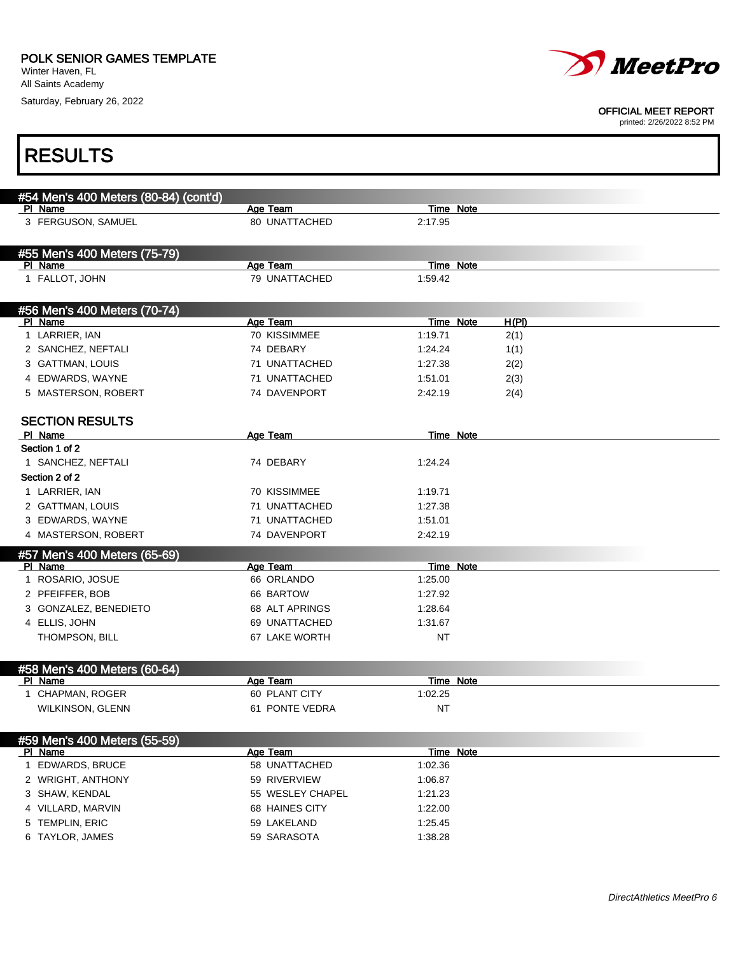Winter Haven, FL All Saints Academy

Saturday, February 26, 2022



#### OFFICIAL MEET REPORT

| <b>RESULTS</b>                          |                           |                      |       |
|-----------------------------------------|---------------------------|----------------------|-------|
| #54 Men's 400 Meters (80-84) (cont'd)   |                           |                      |       |
| PI Name                                 | Age Team                  | <b>Time Note</b>     |       |
| 3 FERGUSON, SAMUEL                      | 80 UNATTACHED             | 2:17.95              |       |
| #55 Men's 400 Meters (75-79)            |                           |                      |       |
| PI Name<br>1 FALLOT, JOHN               | Age Team<br>79 UNATTACHED | Time Note<br>1:59.42 |       |
|                                         |                           |                      |       |
| #56 Men's 400 Meters (70-74)<br>PI Name | Age Team                  | Time Note            | H(PI) |
| 1 LARRIER, IAN                          | 70 KISSIMMEE              | 1:19.71              | 2(1)  |
| 2 SANCHEZ, NEFTALI                      | 74 DEBARY                 | 1:24.24              | 1(1)  |
| 3 GATTMAN, LOUIS                        | 71 UNATTACHED             | 1:27.38              | 2(2)  |
| 4 EDWARDS, WAYNE                        | 71 UNATTACHED             | 1:51.01              | 2(3)  |
| 5 MASTERSON, ROBERT                     | 74 DAVENPORT              | 2:42.19              | 2(4)  |
| <b>SECTION RESULTS</b>                  |                           |                      |       |
| PI Name                                 | Age Team                  | Time Note            |       |
| Section 1 of 2                          |                           |                      |       |
| 1 SANCHEZ, NEFTALI                      | 74 DEBARY                 | 1:24.24              |       |
| Section 2 of 2                          |                           |                      |       |
| 1 LARRIER, IAN                          | 70 KISSIMMEE              | 1:19.71              |       |
| 2 GATTMAN, LOUIS                        | 71 UNATTACHED             | 1:27.38              |       |
| 3 EDWARDS, WAYNE                        | 71 UNATTACHED             | 1:51.01              |       |
| 4 MASTERSON, ROBERT                     | 74 DAVENPORT              | 2:42.19              |       |
| #57 Men's 400 Meters (65-69)            |                           |                      |       |
| PI Name                                 | Age Team                  | Time Note            |       |
| 1 ROSARIO, JOSUE                        | 66 ORLANDO                | 1:25.00              |       |
| 2 PFEIFFER, BOB                         | 66 BARTOW                 | 1:27.92              |       |
| 3 GONZALEZ, BENEDIETO                   | 68 ALT APRINGS            | 1:28.64              |       |
| 4 ELLIS, JOHN                           | 69 UNATTACHED             | 1:31.67              |       |
| THOMPSON, BILL                          | 67 LAKE WORTH             | NT                   |       |
| #58 Men's 400 Meters (60-64)            |                           |                      |       |
| PI Name                                 | Age Team                  | <b>Time Note</b>     |       |
| 1 CHAPMAN, ROGER                        | 60 PLANT CITY             | 1:02.25              |       |
| WILKINSON, GLENN                        | 61 PONTE VEDRA            | <b>NT</b>            |       |
| #59 Men's 400 Meters (55-59)            |                           |                      |       |
| PI Name                                 | Age Team                  | Time Note            |       |
| 1 EDWARDS, BRUCE                        | 58 UNATTACHED             | 1:02.36              |       |
| 2 WRIGHT, ANTHONY                       | 59 RIVERVIEW              | 1:06.87              |       |
| 3 SHAW, KENDAL                          | 55 WESLEY CHAPEL          | 1:21.23              |       |
| 4 VILLARD, MARVIN                       | 68 HAINES CITY            | 1:22.00              |       |
| 5 TEMPLIN, ERIC                         | 59 LAKELAND               | 1:25.45              |       |
| 6 TAYLOR, JAMES                         | 59 SARASOTA               | 1:38.28              |       |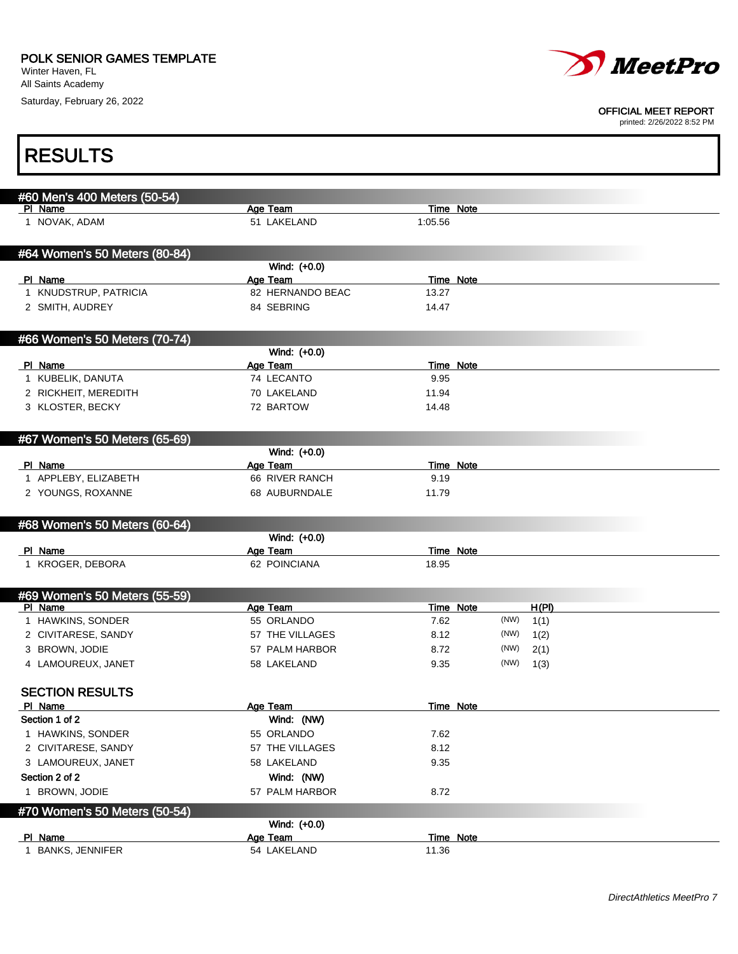Saturday, February 26, 2022



#### OFFICIAL MEET REPORT

| <b>RESULTS</b>                |                         |                      |              |  |
|-------------------------------|-------------------------|----------------------|--------------|--|
| #60 Men's 400 Meters (50-54)  |                         |                      |              |  |
| PI Name<br>1 NOVAK, ADAM      | Age Team<br>51 LAKELAND | Time Note<br>1:05.56 |              |  |
|                               |                         |                      |              |  |
| #64 Women's 50 Meters (80-84) |                         |                      |              |  |
|                               | Wind: (+0.0)            |                      |              |  |
| PI Name                       | Age Team                | Time Note            |              |  |
| 1 KNUDSTRUP, PATRICIA         | 82 HERNANDO BEAC        | 13.27                |              |  |
| 2 SMITH, AUDREY               | 84 SEBRING              | 14.47                |              |  |
| #66 Women's 50 Meters (70-74) |                         |                      |              |  |
|                               | Wind: (+0.0)            |                      |              |  |
| PI Name                       | Age Team                | Time Note            |              |  |
| 1 KUBELIK, DANUTA             | 74 LECANTO              | 9.95                 |              |  |
| 2 RICKHEIT, MEREDITH          | 70 LAKELAND             | 11.94                |              |  |
| 3 KLOSTER, BECKY              | 72 BARTOW               | 14.48                |              |  |
| #67 Women's 50 Meters (65-69) |                         |                      |              |  |
|                               | Wind: (+0.0)            |                      |              |  |
| PI Name                       | Age Team                | Time Note            |              |  |
| 1 APPLEBY, ELIZABETH          | 66 RIVER RANCH          | 9.19                 |              |  |
| 2 YOUNGS, ROXANNE             | 68 AUBURNDALE           | 11.79                |              |  |
| #68 Women's 50 Meters (60-64) |                         |                      |              |  |
|                               | Wind: (+0.0)            |                      |              |  |
| PI Name                       | Age Team                | <b>Time Note</b>     |              |  |
| 1 KROGER, DEBORA              | 62 POINCIANA            | 18.95                |              |  |
| #69 Women's 50 Meters (55-59) |                         |                      |              |  |
| PI Name                       | Age Team                | <b>Time Note</b>     | H(PI)        |  |
| 1 HAWKINS, SONDER             | 55 ORLANDO              | 7.62                 | (NW)<br>1(1) |  |
| 2 CIVITARESE, SANDY           | 57 THE VILLAGES         | 8.12                 | (NW)<br>1(2) |  |
| 3 BROWN, JODIE                | 57 PALM HARBOR          | 8.72                 | (NW)<br>2(1) |  |
| 4 LAMOUREUX, JANET            | 58 LAKELAND             | 9.35                 | (NW)<br>1(3) |  |
| <b>SECTION RESULTS</b>        |                         |                      |              |  |
| PI Name                       | Age Team                | Time Note            |              |  |
| Section 1 of 2                | Wind: (NW)              |                      |              |  |
| 1 HAWKINS, SONDER             | 55 ORLANDO              | 7.62                 |              |  |
| 2 CIVITARESE, SANDY           | 57 THE VILLAGES         | 8.12                 |              |  |
| 3 LAMOUREUX, JANET            | 58 LAKELAND             | 9.35                 |              |  |
| Section 2 of 2                | Wind: (NW)              |                      |              |  |
| 1 BROWN, JODIE                | 57 PALM HARBOR          | 8.72                 |              |  |
| #70 Women's 50 Meters (50-54) | Wind: (+0.0)            |                      |              |  |
| PI Name                       | Age Team                | Time Note            |              |  |
| 1 BANKS, JENNIFER             | 54 LAKELAND             | 11.36                |              |  |
|                               |                         |                      |              |  |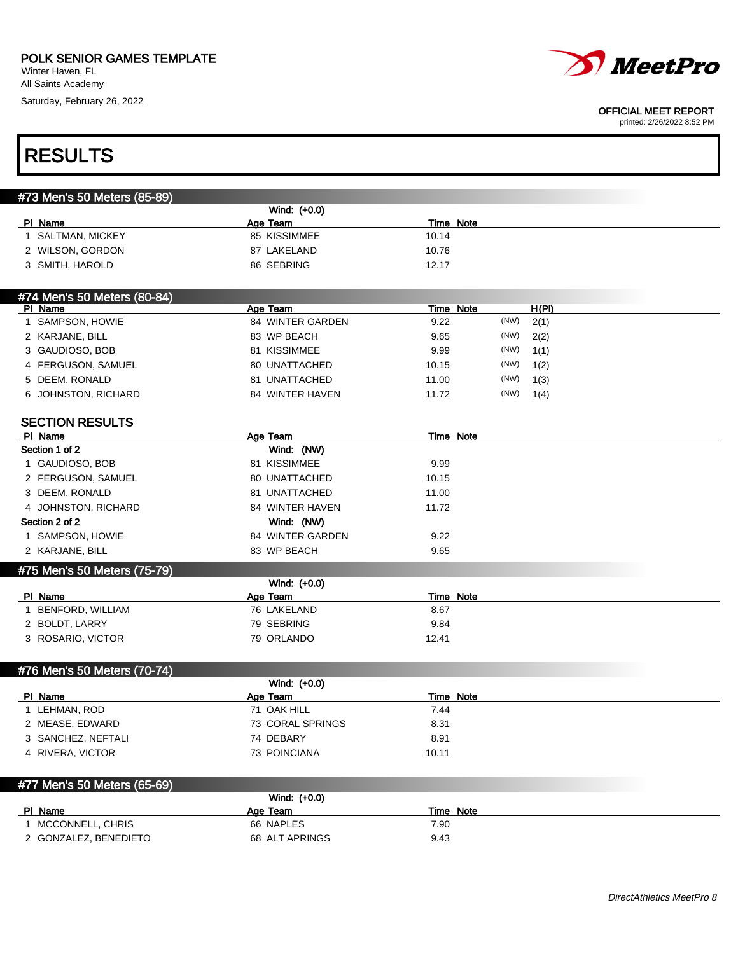Winter Haven, FL All Saints Academy

Saturday, February 26, 2022



#### OFFICIAL MEET REPORT

| <b>RESULTS</b>              |                                |                           |  |
|-----------------------------|--------------------------------|---------------------------|--|
|                             |                                |                           |  |
| #73 Men's 50 Meters (85-89) | Wind: (+0.0)                   |                           |  |
| PI Name                     | Age Team                       | Time Note                 |  |
| 1 SALTMAN, MICKEY           | 85 KISSIMMEE                   | 10.14                     |  |
| 2 WILSON, GORDON            | 87 LAKELAND                    | 10.76                     |  |
| 3 SMITH, HAROLD             | 86 SEBRING                     | 12.17                     |  |
| #74 Men's 50 Meters (80-84) |                                |                           |  |
| PI Name                     | Age Team                       | <b>Time Note</b><br>H(PI) |  |
| 1 SAMPSON, HOWIE            | 84 WINTER GARDEN               | (NW)<br>9.22<br>2(1)      |  |
| 2 KARJANE, BILL             | 83 WP BEACH                    | (NW)<br>9.65<br>2(2)      |  |
| 3 GAUDIOSO, BOB             | 81 KISSIMMEE                   | (NW)<br>9.99<br>1(1)      |  |
| 4 FERGUSON, SAMUEL          | 80 UNATTACHED                  | (NW)<br>10.15<br>1(2)     |  |
| 5 DEEM, RONALD              | 81 UNATTACHED                  | (NW)<br>11.00<br>1(3)     |  |
| 6 JOHNSTON, RICHARD         | 84 WINTER HAVEN                | (NW)<br>11.72<br>1(4)     |  |
| <b>SECTION RESULTS</b>      |                                |                           |  |
| PI Name<br>Section 1 of 2   | Age Team                       | Time Note                 |  |
|                             | Wind: (NW)<br>81 KISSIMMEE     |                           |  |
| 1 GAUDIOSO, BOB             | 80 UNATTACHED                  | 9.99                      |  |
| 2 FERGUSON, SAMUEL          | 81 UNATTACHED                  | 10.15                     |  |
| 3 DEEM, RONALD              |                                | 11.00                     |  |
| 4 JOHNSTON, RICHARD         | 84 WINTER HAVEN                | 11.72                     |  |
| Section 2 of 2              | Wind: (NW)<br>84 WINTER GARDEN |                           |  |
| 1 SAMPSON, HOWIE            |                                | 9.22                      |  |
| 2 KARJANE, BILL             | 83 WP BEACH                    | 9.65                      |  |
| #75 Men's 50 Meters (75-79) | Wind: (+0.0)                   |                           |  |
| PI Name                     | <b>Age Team</b>                | Time Note                 |  |
| 1 BENFORD, WILLIAM          | 76 LAKELAND                    | 8.67                      |  |
| 2 BOLDT, LARRY              | 79 SEBRING                     | 9.84                      |  |
| 3 ROSARIO, VICTOR           | 79 ORLANDO                     | 12.41                     |  |
| #76 Men's 50 Meters (70-74) |                                |                           |  |
|                             | Wind: (+0.0)                   |                           |  |
| PI Name                     | Age Team                       | Time Note                 |  |
| 1 LEHMAN, ROD               | 71 OAK HILL                    | 7.44                      |  |
| 2 MEASE, EDWARD             | 73 CORAL SPRINGS               | 8.31                      |  |
| 3 SANCHEZ, NEFTALI          | 74 DEBARY                      | 8.91                      |  |
| 4 RIVERA, VICTOR            | 73 POINCIANA                   | 10.11                     |  |
| #77 Men's 50 Meters (65-69) |                                |                           |  |
|                             | Wind: (+0.0)                   |                           |  |
| PI Name                     | Age Team                       | <b>Time Note</b>          |  |
| 1 MCCONNELL, CHRIS          | 66 NAPLES                      | 7.90                      |  |
| 2 GONZALEZ, BENEDIETO       | 68 ALT APRINGS                 | 9.43                      |  |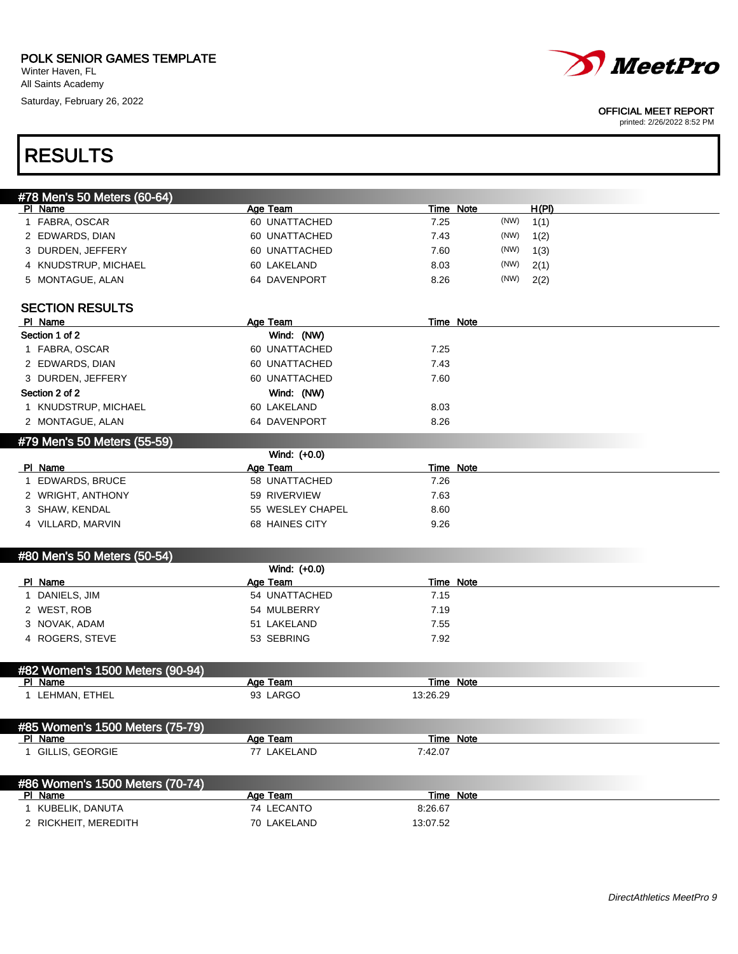Winter Haven, FL All Saints Academy

RESULTS

Saturday, February 26, 2022



#### OFFICIAL MEET REPORT

| #78 Men's 50 Meters (60-64)     |                  |                  |      |       |
|---------------------------------|------------------|------------------|------|-------|
| PI Name                         | Age Team         | Time Note        |      | H(PI) |
| 1 FABRA, OSCAR                  | 60 UNATTACHED    | 7.25             | (NW) | 1(1)  |
| 2 EDWARDS, DIAN                 | 60 UNATTACHED    | 7.43             | (NW) | 1(2)  |
| 3 DURDEN, JEFFERY               | 60 UNATTACHED    | 7.60             | (NW) | 1(3)  |
| 4 KNUDSTRUP, MICHAEL            | 60 LAKELAND      | 8.03             | (NW) | 2(1)  |
| 5 MONTAGUE, ALAN                | 64 DAVENPORT     | 8.26             | (NW) | 2(2)  |
| <b>SECTION RESULTS</b>          |                  |                  |      |       |
| PI Name                         | Age Team         | <b>Time Note</b> |      |       |
| Section 1 of 2                  | Wind: (NW)       |                  |      |       |
| 1 FABRA, OSCAR                  | 60 UNATTACHED    | 7.25             |      |       |
| 2 EDWARDS, DIAN                 | 60 UNATTACHED    | 7.43             |      |       |
| 3 DURDEN, JEFFERY               | 60 UNATTACHED    | 7.60             |      |       |
| Section 2 of 2                  | Wind: (NW)       |                  |      |       |
| 1 KNUDSTRUP, MICHAEL            | 60 LAKELAND      | 8.03             |      |       |
| 2 MONTAGUE, ALAN                | 64 DAVENPORT     | 8.26             |      |       |
| #79 Men's 50 Meters (55-59)     |                  |                  |      |       |
|                                 | Wind: (+0.0)     |                  |      |       |
| PI Name                         | Age Team         | <b>Time Note</b> |      |       |
| 1 EDWARDS, BRUCE                | 58 UNATTACHED    | 7.26             |      |       |
| 2 WRIGHT, ANTHONY               | 59 RIVERVIEW     | 7.63             |      |       |
| 3 SHAW, KENDAL                  | 55 WESLEY CHAPEL | 8.60             |      |       |
| 4 VILLARD, MARVIN               | 68 HAINES CITY   | 9.26             |      |       |
| #80 Men's 50 Meters (50-54)     |                  |                  |      |       |
|                                 | Wind: (+0.0)     |                  |      |       |
| PI Name                         | Age Team         | <b>Time Note</b> |      |       |
| 1 DANIELS, JIM                  | 54 UNATTACHED    | 7.15             |      |       |
| 2 WEST, ROB                     | 54 MULBERRY      | 7.19             |      |       |
| 3 NOVAK, ADAM                   | 51 LAKELAND      | 7.55             |      |       |
| 4 ROGERS, STEVE                 | 53 SEBRING       | 7.92             |      |       |
| #82 Women's 1500 Meters (90-94) |                  |                  |      |       |
| PI Name                         | Age Team         | <b>Time Note</b> |      |       |
| 1 LEHMAN, ETHEL                 | 93 LARGO         | 13:26.29         |      |       |
| #85 Women's 1500 Meters (75-79) |                  |                  |      |       |
| PI Name                         | Age Team         | Time Note        |      |       |
| 1 GILLIS, GEORGIE               | 77 LAKELAND      | 7:42.07          |      |       |
| #86 Women's 1500 Meters (70-74) |                  |                  |      |       |
| PI Name                         | Age Team         | <b>Time Note</b> |      |       |
| 1 KUBELIK, DANUTA               | 74 LECANTO       | 8:26.67          |      |       |
| 2 RICKHEIT, MEREDITH            | 70 LAKELAND      | 13:07.52         |      |       |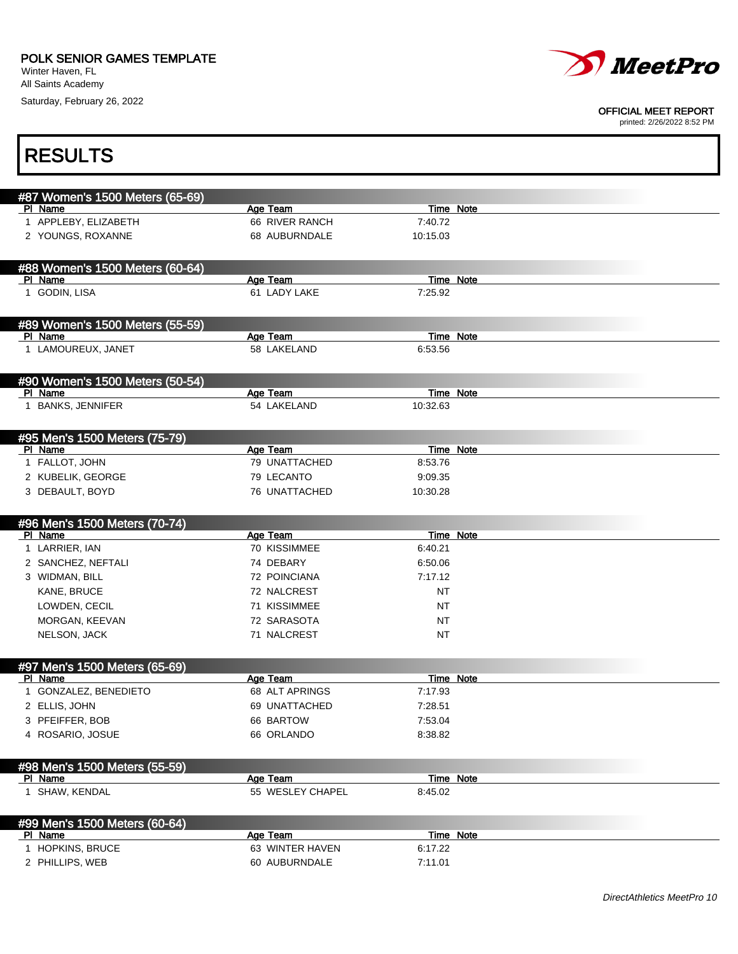Saturday, February 26, 2022



#### OFFICIAL MEET REPORT

| <b>RESULTS</b>                             |                                      |                       |                  |  |
|--------------------------------------------|--------------------------------------|-----------------------|------------------|--|
| #87 Women's 1500 Meters (65-69)            |                                      |                       |                  |  |
| PI Name                                    | Age Team                             | Time Note             |                  |  |
| 1 APPLEBY, ELIZABETH                       | 66 RIVER RANCH                       | 7:40.72               |                  |  |
| 2 YOUNGS, ROXANNE                          | 68 AUBURNDALE                        | 10:15.03              |                  |  |
| #88 Women's 1500 Meters (60-64)            |                                      |                       |                  |  |
| PI Name<br>1 GODIN, LISA                   | Age Team<br>61 LADY LAKE             | Time Note<br>7:25.92  |                  |  |
|                                            |                                      |                       |                  |  |
| #89 Women's 1500 Meters (55-59)            |                                      |                       |                  |  |
| PI Name                                    | Age Team                             | <b>Time Note</b>      |                  |  |
| 1 LAMOUREUX, JANET                         | 58 LAKELAND                          | 6:53.56               |                  |  |
| #90 Women's 1500 Meters (50-54)<br>PI Name |                                      |                       |                  |  |
| 1 BANKS, JENNIFER                          | Age Team<br>54 LAKELAND              | Time Note<br>10:32.63 |                  |  |
|                                            |                                      |                       |                  |  |
| #95 Men's 1500 Meters (75-79)              |                                      |                       |                  |  |
| PI Name<br>1 FALLOT, JOHN                  | Age Team<br>79 UNATTACHED            | Time Note<br>8:53.76  |                  |  |
| 2 KUBELIK, GEORGE                          | 79 LECANTO                           | 9:09.35               |                  |  |
| 3 DEBAULT, BOYD                            | 76 UNATTACHED                        | 10:30.28              |                  |  |
|                                            |                                      |                       |                  |  |
|                                            |                                      |                       |                  |  |
| #96 Men's 1500 Meters (70-74)              |                                      |                       |                  |  |
| PI Name                                    | Age Team                             | <b>Time Note</b>      |                  |  |
| 1 LARRIER, IAN                             | 70 KISSIMMEE                         | 6:40.21               |                  |  |
| 2 SANCHEZ, NEFTALI                         | 74 DEBARY                            | 6:50.06               |                  |  |
| 3 WIDMAN, BILL                             | 72 POINCIANA                         | 7:17.12               |                  |  |
| KANE, BRUCE                                | 72 NALCREST                          | NT                    |                  |  |
| LOWDEN, CECIL                              | 71 KISSIMMEE                         | NT                    |                  |  |
| MORGAN, KEEVAN<br>NELSON, JACK             | 72 SARASOTA<br>71 NALCREST           | <b>NT</b><br>NT       |                  |  |
|                                            |                                      |                       |                  |  |
| #97 Men's 1500 Meters (65-69)              |                                      |                       |                  |  |
| PI Name<br>1 GONZALEZ, BENEDIETO           | <u>Age Team __</u><br>68 ALT APRINGS | 7:17.93               | <u>Time Note</u> |  |
| 2 ELLIS, JOHN                              | 69 UNATTACHED                        | 7:28.51               |                  |  |
| 3 PFEIFFER, BOB                            | 66 BARTOW                            | 7:53.04               |                  |  |
| 4 ROSARIO, JOSUE                           | 66 ORLANDO                           | 8:38.82               |                  |  |
|                                            |                                      |                       |                  |  |
| #98 Men's 1500 Meters (55-59)<br>PI Name   | Age Team                             | <b>Time Note</b>      |                  |  |
| 1 SHAW, KENDAL                             | 55 WESLEY CHAPEL                     | 8:45.02               |                  |  |
| #99 Men's 1500 Meters (60-64)              |                                      |                       |                  |  |
| <b>PI Name</b>                             | Age Team                             | Time Note             |                  |  |
| 1 HOPKINS, BRUCE<br>2 PHILLIPS, WEB        | 63 WINTER HAVEN<br>60 AUBURNDALE     | 6:17.22<br>7:11.01    |                  |  |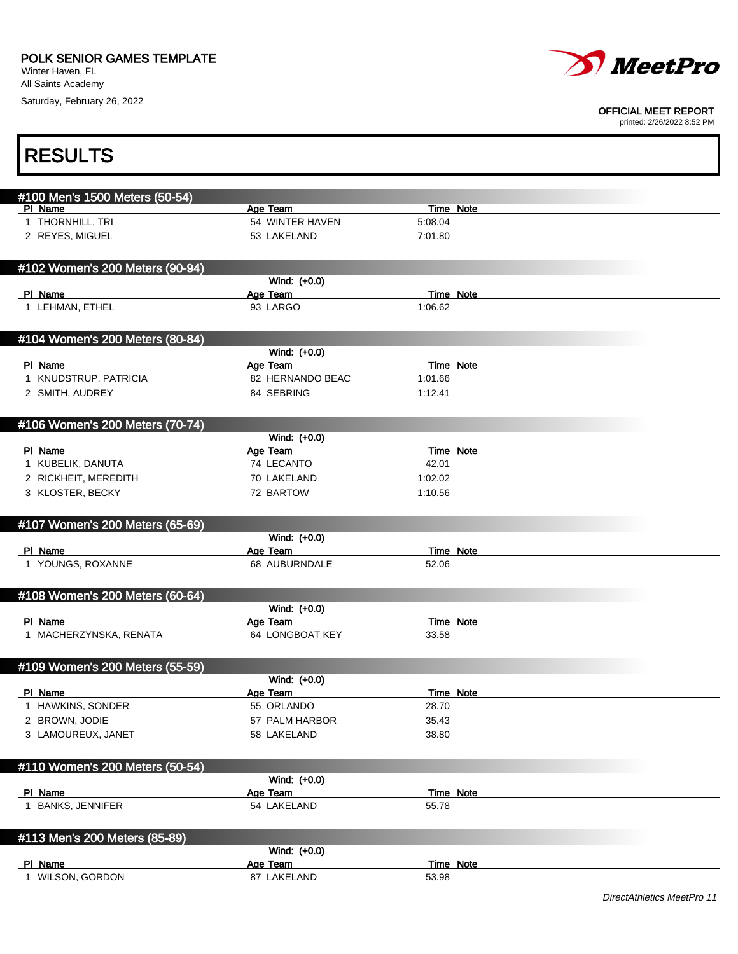П

Saturday, February 26, 2022



#### OFFICIAL MEET REPORT

| <b>RESULTS</b>                            |                          |                  |  |
|-------------------------------------------|--------------------------|------------------|--|
|                                           |                          |                  |  |
| #100 Men's 1500 Meters (50-54)<br>PI Name | Age Team                 | Time Note        |  |
| 1 THORNHILL, TRI                          | 54 WINTER HAVEN          | 5:08.04          |  |
| 2 REYES, MIGUEL                           | 53 LAKELAND              | 7:01.80          |  |
|                                           |                          |                  |  |
| #102 Women's 200 Meters (90-94)           |                          |                  |  |
|                                           | Wind: (+0.0)             |                  |  |
| PI Name                                   | Age Team                 | Time Note        |  |
| 1 LEHMAN, ETHEL                           | 93 LARGO                 | 1:06.62          |  |
|                                           |                          |                  |  |
| #104 Women's 200 Meters (80-84)           |                          |                  |  |
|                                           | Wind: (+0.0)             |                  |  |
| PI Name                                   | Age Team                 | <b>Time Note</b> |  |
| 1 KNUDSTRUP, PATRICIA                     | 82 HERNANDO BEAC         | 1:01.66          |  |
| 2 SMITH, AUDREY                           | 84 SEBRING               | 1:12.41          |  |
|                                           |                          |                  |  |
| #106 Women's 200 Meters (70-74)           |                          |                  |  |
| PI Name                                   | Wind: (+0.0)<br>Age Team | Time Note        |  |
| 1 KUBELIK, DANUTA                         | 74 LECANTO               | 42.01            |  |
| 2 RICKHEIT, MEREDITH                      | 70 LAKELAND              | 1:02.02          |  |
| 3 KLOSTER, BECKY                          | 72 BARTOW                | 1:10.56          |  |
|                                           |                          |                  |  |
| #107 Women's 200 Meters (65-69)           |                          |                  |  |
|                                           | Wind: (+0.0)             |                  |  |
| PI Name                                   | Age Team                 | <b>Time Note</b> |  |
| 1 YOUNGS, ROXANNE                         | 68 AUBURNDALE            | 52.06            |  |
|                                           |                          |                  |  |
| #108 Women's 200 Meters (60-64)           |                          |                  |  |
|                                           | Wind: (+0.0)             |                  |  |
| PI Name                                   | Age Team                 | <b>Time Note</b> |  |
| 1 MACHERZYNSKA, RENATA                    | 64 LONGBOAT KEY          | 33.58            |  |
|                                           |                          |                  |  |
| #109 Women's 200 Meters (55-59)           |                          |                  |  |
| PI Name                                   | Wind: (+0.0)<br>Age Team | Time Note        |  |
| 1 HAWKINS, SONDER                         | 55 ORLANDO               | 28.70            |  |
| 2 BROWN, JODIE                            | 57 PALM HARBOR           | 35.43            |  |
| 3 LAMOUREUX, JANET                        | 58 LAKELAND              | 38.80            |  |
|                                           |                          |                  |  |
| #110 Women's 200 Meters (50-54)           |                          |                  |  |
|                                           | Wind: (+0.0)             |                  |  |
| PI Name                                   | <b>Age Team</b>          | Time Note        |  |
| 1 BANKS, JENNIFER                         | 54 LAKELAND              | 55.78            |  |
|                                           |                          |                  |  |
| #113 Men's 200 Meters (85-89)             |                          |                  |  |
|                                           | Wind: (+0.0)             |                  |  |
| PI Name                                   | Age Team                 | <b>Time Note</b> |  |
| 1 WILSON, GORDON                          | 87 LAKELAND              | 53.98            |  |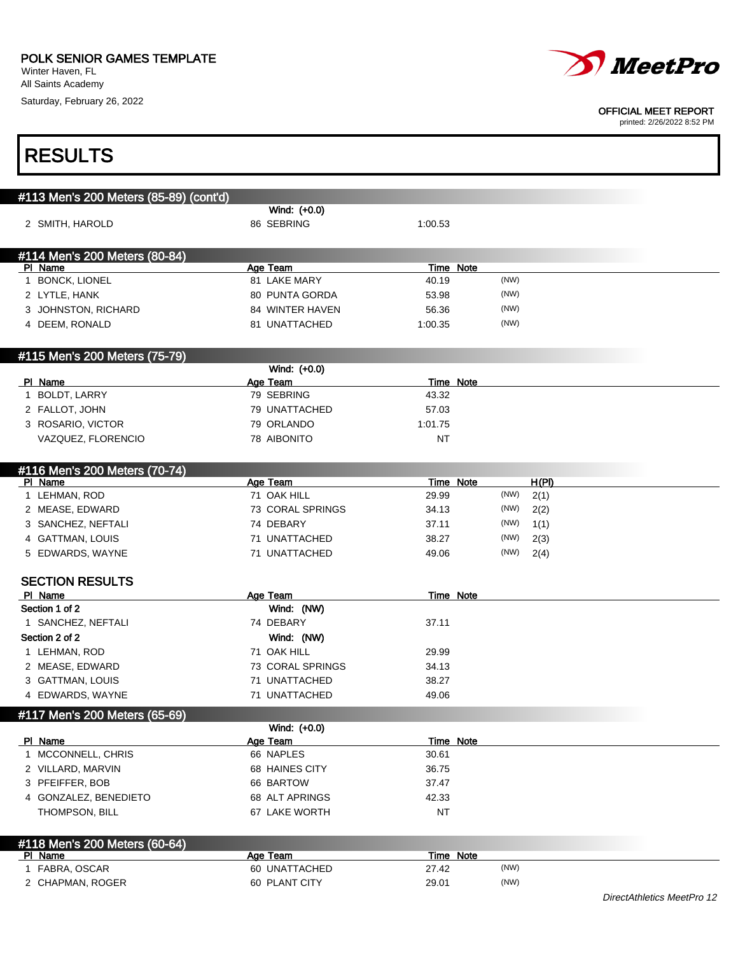Winter Haven, FL All Saints Academy Saturday, February 26, 2022



OFFICIAL MEET REPORT

| <b>RESULTS</b>                         |                             |                    |      |               |  |
|----------------------------------------|-----------------------------|--------------------|------|---------------|--|
|                                        |                             |                    |      |               |  |
| #113 Men's 200 Meters (85-89) (cont'd) |                             |                    |      |               |  |
|                                        | Wind: (+0.0)                |                    |      |               |  |
| 2 SMITH, HAROLD                        | 86 SEBRING                  | 1:00.53            |      |               |  |
| #114 Men's 200 Meters (80-84)          |                             |                    |      |               |  |
| PI Name                                | Age Team                    | <b>Time Note</b>   |      |               |  |
| 1 BONCK, LIONEL                        | 81 LAKE MARY                | 40.19              | (NW) |               |  |
| 2 LYTLE, HANK                          | 80 PUNTA GORDA              | 53.98              | (NW) |               |  |
| 3 JOHNSTON, RICHARD                    | 84 WINTER HAVEN             | 56.36              | (NW) |               |  |
| 4 DEEM, RONALD                         | 81 UNATTACHED               | 1:00.35            | (NW) |               |  |
| #115 Men's 200 Meters (75-79)          |                             |                    |      |               |  |
|                                        | Wind: (+0.0)                |                    |      |               |  |
| PI Name                                | Age Team                    | Time Note          |      |               |  |
| 1 BOLDT, LARRY                         | 79 SEBRING                  | 43.32              |      |               |  |
| 2 FALLOT, JOHN                         | 79 UNATTACHED<br>79 ORLANDO | 57.03              |      |               |  |
| 3 ROSARIO, VICTOR                      |                             | 1:01.75            |      |               |  |
| VAZQUEZ, FLORENCIO                     | 78 AIBONITO                 | <b>NT</b>          |      |               |  |
| #116 Men's 200 Meters (70-74)          |                             |                    |      |               |  |
| PI Name<br>1 LEHMAN, ROD               | Age Team<br>71 OAK HILL     | Time Note<br>29.99 | (NW) | H(PI)<br>2(1) |  |
| 2 MEASE, EDWARD                        | 73 CORAL SPRINGS            | 34.13              | (NW) | 2(2)          |  |
| 3 SANCHEZ, NEFTALI                     | 74 DEBARY                   | 37.11              | (NW) | 1(1)          |  |
| 4 GATTMAN, LOUIS                       | 71 UNATTACHED               | 38.27              | (NW) | 2(3)          |  |
| 5 EDWARDS, WAYNE                       | 71 UNATTACHED               | 49.06              | (NW) | 2(4)          |  |
|                                        |                             |                    |      |               |  |
| <b>SECTION RESULTS</b>                 |                             |                    |      |               |  |
| PI Name                                | Age Team                    | Time Note          |      |               |  |
| Section 1 of 2                         | Wind: (NW)                  |                    |      |               |  |
| 1 SANCHEZ, NEFTALI                     | 74 DEBARY                   | 37.11              |      |               |  |
| Section 2 of 2                         | Wind: (NW)                  |                    |      |               |  |
| 1 LEHMAN, ROD                          | 71 OAK HILL                 | 29.99              |      |               |  |
| 2 MEASE, EDWARD                        | 73 CORAL SPRINGS            | 34.13              |      |               |  |
| 3 GATTMAN, LOUIS                       | 71 UNATTACHED               | 38.27              |      |               |  |
| 4 EDWARDS, WAYNE                       | 71 UNATTACHED               | 49.06              |      |               |  |
| #117 Men's 200 Meters (65-69)          | Wind: (+0.0)                |                    |      |               |  |
| PI Name                                | Age Team                    | Time Note          |      |               |  |
| 1 MCCONNELL, CHRIS                     | 66 NAPLES                   | 30.61              |      |               |  |
| 2 VILLARD, MARVIN                      | 68 HAINES CITY              | 36.75              |      |               |  |
| 3 PFEIFFER, BOB                        | 66 BARTOW                   | 37.47              |      |               |  |
| 4 GONZALEZ, BENEDIETO                  | 68 ALT APRINGS              | 42.33              |      |               |  |
| THOMPSON, BILL                         | 67 LAKE WORTH               | NT                 |      |               |  |
| #118 Men's 200 Meters (60-64)          |                             |                    |      |               |  |
| PI Name                                | Age Team                    | Time Note          |      |               |  |
| 1 FABRA, OSCAR                         | 60 UNATTACHED               | 27.42              | (NW) |               |  |
| 2 CHAPMAN, ROGER                       | 60 PLANT CITY               | 29.01              | (NW) |               |  |
|                                        |                             |                    |      |               |  |